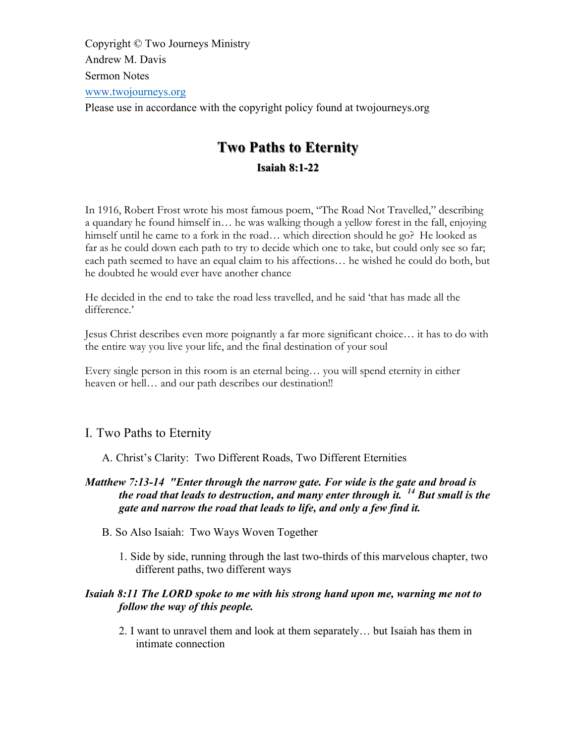Copyright © Two Journeys Ministry Andrew M. Davis Sermon Notes www.twojourneys.org Please use in accordance with the copyright policy found at twojourneys.org

# **Two Paths to Eternity Two Paths to Eternity Isaiah 8:1-22**

In 1916, Robert Frost wrote his most famous poem, "The Road Not Travelled," describing a quandary he found himself in… he was walking though a yellow forest in the fall, enjoying himself until he came to a fork in the road... which direction should he go? He looked as far as he could down each path to try to decide which one to take, but could only see so far; each path seemed to have an equal claim to his affections… he wished he could do both, but he doubted he would ever have another chance

He decided in the end to take the road less travelled, and he said 'that has made all the difference.'

Jesus Christ describes even more poignantly a far more significant choice… it has to do with the entire way you live your life, and the final destination of your soul

Every single person in this room is an eternal being… you will spend eternity in either heaven or hell... and our path describes our destination!!

# I. Two Paths to Eternity

A. Christ's Clarity: Two Different Roads, Two Different Eternities

# *Matthew 7:13-14 "Enter through the narrow gate. For wide is the gate and broad is the road that leads to destruction, and many enter through it. <sup>14</sup> But small is the gate and narrow the road that leads to life, and only a few find it.*

- B. So Also Isaiah: Two Ways Woven Together
	- 1. Side by side, running through the last two-thirds of this marvelous chapter, two different paths, two different ways

# *Isaiah 8:11 The LORD spoke to me with his strong hand upon me, warning me not to follow the way of this people.*

2. I want to unravel them and look at them separately… but Isaiah has them in intimate connection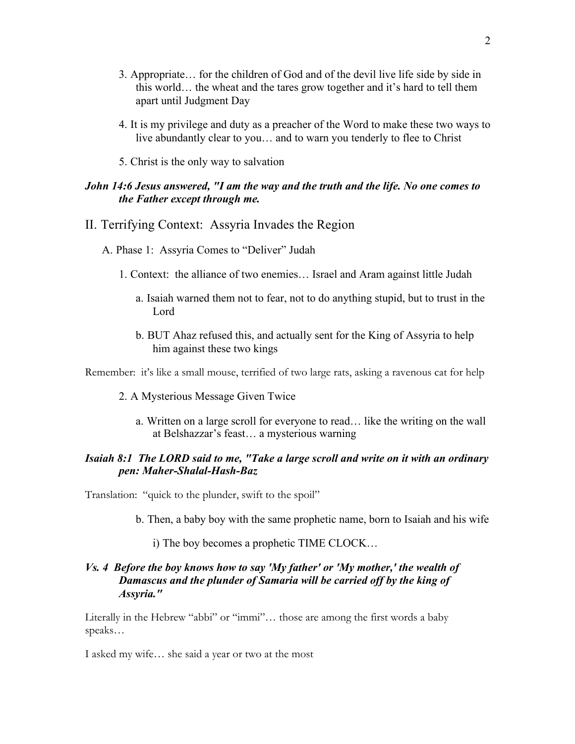- 3. Appropriate… for the children of God and of the devil live life side by side in this world… the wheat and the tares grow together and it's hard to tell them apart until Judgment Day
- 4. It is my privilege and duty as a preacher of the Word to make these two ways to live abundantly clear to you… and to warn you tenderly to flee to Christ
- 5. Christ is the only way to salvation

# *John 14:6 Jesus answered, "I am the way and the truth and the life. No one comes to the Father except through me.*

### II. Terrifying Context: Assyria Invades the Region

A. Phase 1: Assyria Comes to "Deliver" Judah

- 1. Context: the alliance of two enemies… Israel and Aram against little Judah
	- a. Isaiah warned them not to fear, not to do anything stupid, but to trust in the Lord
	- b. BUT Ahaz refused this, and actually sent for the King of Assyria to help him against these two kings

Remember: it's like a small mouse, terrified of two large rats, asking a ravenous cat for help

- 2. A Mysterious Message Given Twice
	- a. Written on a large scroll for everyone to read… like the writing on the wall at Belshazzar's feast… a mysterious warning

# *Isaiah 8:1 The LORD said to me, "Take a large scroll and write on it with an ordinary pen: Maher-Shalal-Hash-Baz*

Translation: "quick to the plunder, swift to the spoil"

- b. Then, a baby boy with the same prophetic name, born to Isaiah and his wife
	- i) The boy becomes a prophetic TIME CLOCK…

# *Vs. 4 Before the boy knows how to say 'My father' or 'My mother,' the wealth of Damascus and the plunder of Samaria will be carried off by the king of Assyria."*

Literally in the Hebrew "abbi" or "immi"… those are among the first words a baby speaks…

I asked my wife… she said a year or two at the most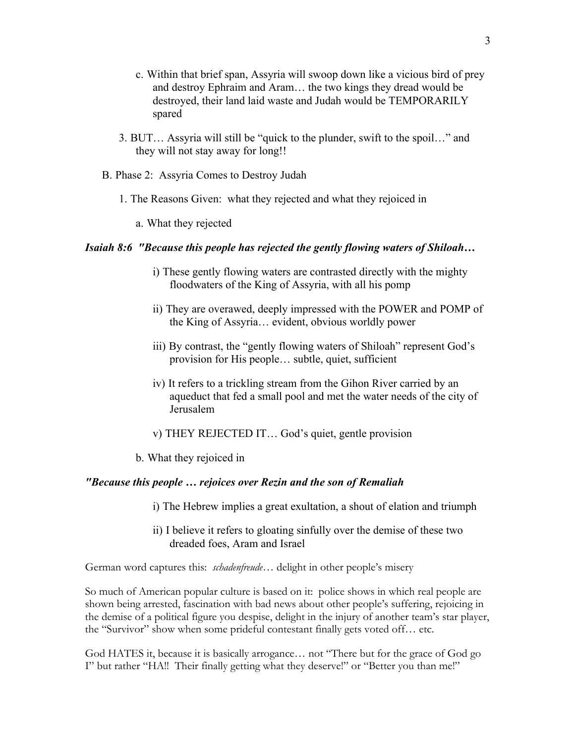- c. Within that brief span, Assyria will swoop down like a vicious bird of prey and destroy Ephraim and Aram… the two kings they dread would be destroyed, their land laid waste and Judah would be TEMPORARILY spared
- 3. BUT… Assyria will still be "quick to the plunder, swift to the spoil…" and they will not stay away for long!!
- B. Phase 2: Assyria Comes to Destroy Judah
	- 1. The Reasons Given: what they rejected and what they rejoiced in
		- a. What they rejected

### *Isaiah 8:6 "Because this people has rejected the gently flowing waters of Shiloah…*

- i) These gently flowing waters are contrasted directly with the mighty floodwaters of the King of Assyria, with all his pomp
- ii) They are overawed, deeply impressed with the POWER and POMP of the King of Assyria… evident, obvious worldly power
- iii) By contrast, the "gently flowing waters of Shiloah" represent God's provision for His people… subtle, quiet, sufficient
- iv) It refers to a trickling stream from the Gihon River carried by an aqueduct that fed a small pool and met the water needs of the city of Jerusalem
- v) THEY REJECTED IT… God's quiet, gentle provision
- b. What they rejoiced in

# *"Because this people … rejoices over Rezin and the son of Remaliah*

- i) The Hebrew implies a great exultation, a shout of elation and triumph
- ii) I believe it refers to gloating sinfully over the demise of these two dreaded foes, Aram and Israel

German word captures this: *schadenfreude*… delight in other people's misery

So much of American popular culture is based on it: police shows in which real people are shown being arrested, fascination with bad news about other people's suffering, rejoicing in the demise of a political figure you despise, delight in the injury of another team's star player, the "Survivor" show when some prideful contestant finally gets voted off… etc.

God HATES it, because it is basically arrogance… not "There but for the grace of God go I" but rather "HA!! Their finally getting what they deserve!" or "Better you than me!"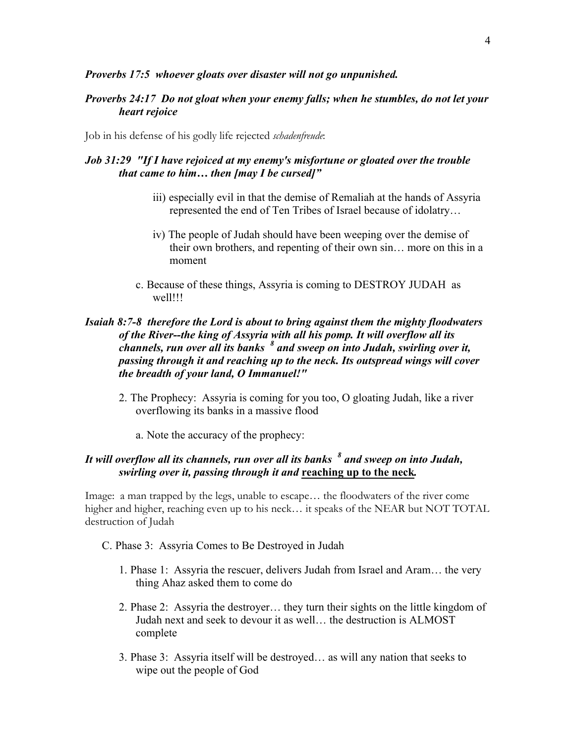#### *Proverbs 17:5 whoever gloats over disaster will not go unpunished.*

### *Proverbs 24:17 Do not gloat when your enemy falls; when he stumbles, do not let your heart rejoice*

Job in his defense of his godly life rejected *schadenfreude*:

# *Job 31:29 "If I have rejoiced at my enemy's misfortune or gloated over the trouble that came to him… then [may I be cursed]"*

- iii) especially evil in that the demise of Remaliah at the hands of Assyria represented the end of Ten Tribes of Israel because of idolatry…
- iv) The people of Judah should have been weeping over the demise of their own brothers, and repenting of their own sin… more on this in a moment
- c. Because of these things, Assyria is coming to DESTROY JUDAH as well!!!

# *Isaiah 8:7-8 therefore the Lord is about to bring against them the mighty floodwaters of the River--the king of Assyria with all his pomp. It will overflow all its channels, run over all its banks <sup>8</sup> and sweep on into Judah, swirling over it, passing through it and reaching up to the neck. Its outspread wings will cover the breadth of your land, O Immanuel!"*

- 2. The Prophecy: Assyria is coming for you too, O gloating Judah, like a river overflowing its banks in a massive flood
	- a. Note the accuracy of the prophecy:

# *It will overflow all its channels, run over all its banks <sup>8</sup> and sweep on into Judah, swirling over it, passing through it and* **reaching up to the neck***.*

Image: a man trapped by the legs, unable to escape… the floodwaters of the river come higher and higher, reaching even up to his neck… it speaks of the NEAR but NOT TOTAL destruction of Judah

- C. Phase 3: Assyria Comes to Be Destroyed in Judah
	- 1. Phase 1: Assyria the rescuer, delivers Judah from Israel and Aram… the very thing Ahaz asked them to come do
	- 2. Phase 2: Assyria the destroyer… they turn their sights on the little kingdom of Judah next and seek to devour it as well… the destruction is ALMOST complete
	- 3. Phase 3: Assyria itself will be destroyed… as will any nation that seeks to wipe out the people of God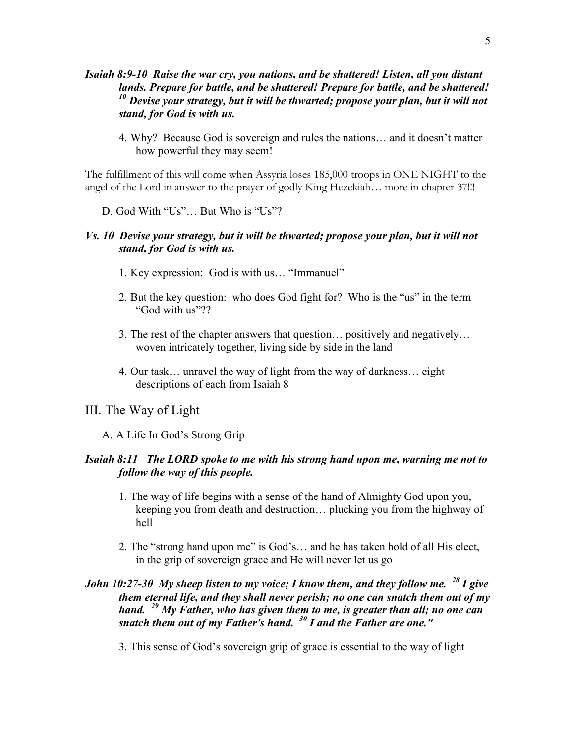- *Isaiah 8:9-10 Raise the war cry, you nations, and be shattered! Listen, all you distant lands. Prepare for battle, and be shattered! Prepare for battle, and be shattered! <sup>10</sup> Devise your strategy, but it will be thwarted; propose your plan, but it will not stand, for God is with us.*
	- 4. Why? Because God is sovereign and rules the nations… and it doesn't matter how powerful they may seem!

The fulfillment of this will come when Assyria loses 185,000 troops in ONE NIGHT to the angel of the Lord in answer to the prayer of godly King Hezekiah… more in chapter 37!!!

D. God With "Us"… But Who is "Us"?

### *Vs. 10 Devise your strategy, but it will be thwarted; propose your plan, but it will not stand, for God is with us.*

- 1. Key expression: God is with us… "Immanuel"
- 2. But the key question: who does God fight for? Who is the "us" in the term "God with us"??
- 3. The rest of the chapter answers that question… positively and negatively… woven intricately together, living side by side in the land
- 4. Our task… unravel the way of light from the way of darkness… eight descriptions of each from Isaiah 8

# III. The Way of Light

A. A Life In God's Strong Grip

### *Isaiah 8:11 The LORD spoke to me with his strong hand upon me, warning me not to follow the way of this people.*

- 1. The way of life begins with a sense of the hand of Almighty God upon you, keeping you from death and destruction… plucking you from the highway of hell
- 2. The "strong hand upon me" is God's… and he has taken hold of all His elect, in the grip of sovereign grace and He will never let us go

# *John 10:27-30 My sheep listen to my voice; I know them, and they follow me. <sup>28</sup> I give them eternal life, and they shall never perish; no one can snatch them out of my hand. <sup>29</sup> My Father, who has given them to me, is greater than all; no one can snatch them out of my Father's hand. <sup>30</sup> I and the Father are one."*

3. This sense of God's sovereign grip of grace is essential to the way of light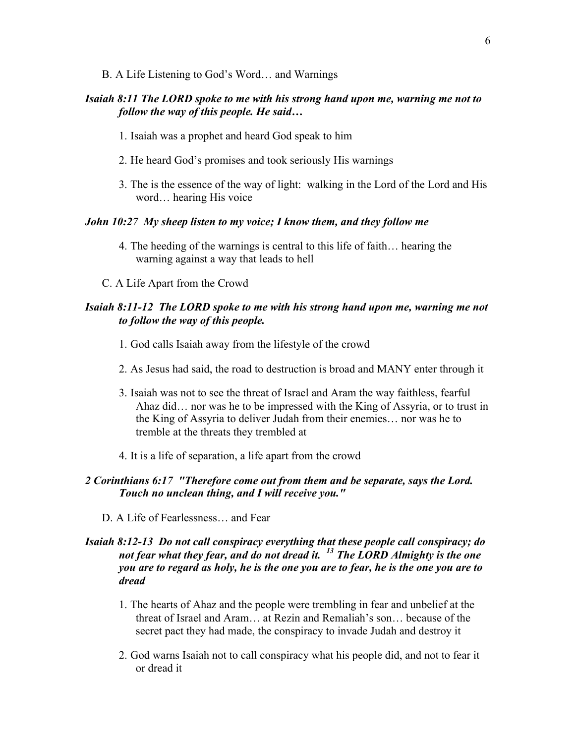B. A Life Listening to God's Word… and Warnings

# *Isaiah 8:11 The LORD spoke to me with his strong hand upon me, warning me not to follow the way of this people. He said…*

- 1. Isaiah was a prophet and heard God speak to him
- 2. He heard God's promises and took seriously His warnings
- 3. The is the essence of the way of light: walking in the Lord of the Lord and His word… hearing His voice

#### *John 10:27 My sheep listen to my voice; I know them, and they follow me*

- 4. The heeding of the warnings is central to this life of faith… hearing the warning against a way that leads to hell
- C. A Life Apart from the Crowd

# *Isaiah 8:11-12 The LORD spoke to me with his strong hand upon me, warning me not to follow the way of this people.*

- 1. God calls Isaiah away from the lifestyle of the crowd
- 2. As Jesus had said, the road to destruction is broad and MANY enter through it
- 3. Isaiah was not to see the threat of Israel and Aram the way faithless, fearful Ahaz did… nor was he to be impressed with the King of Assyria, or to trust in the King of Assyria to deliver Judah from their enemies… nor was he to tremble at the threats they trembled at
- 4. It is a life of separation, a life apart from the crowd

# *2 Corinthians 6:17 "Therefore come out from them and be separate, says the Lord. Touch no unclean thing, and I will receive you."*

D. A Life of Fearlessness… and Fear

# *Isaiah 8:12-13 Do not call conspiracy everything that these people call conspiracy; do not fear what they fear, and do not dread it. <sup>13</sup> The LORD Almighty is the one you are to regard as holy, he is the one you are to fear, he is the one you are to dread*

- 1. The hearts of Ahaz and the people were trembling in fear and unbelief at the threat of Israel and Aram… at Rezin and Remaliah's son… because of the secret pact they had made, the conspiracy to invade Judah and destroy it
- 2. God warns Isaiah not to call conspiracy what his people did, and not to fear it or dread it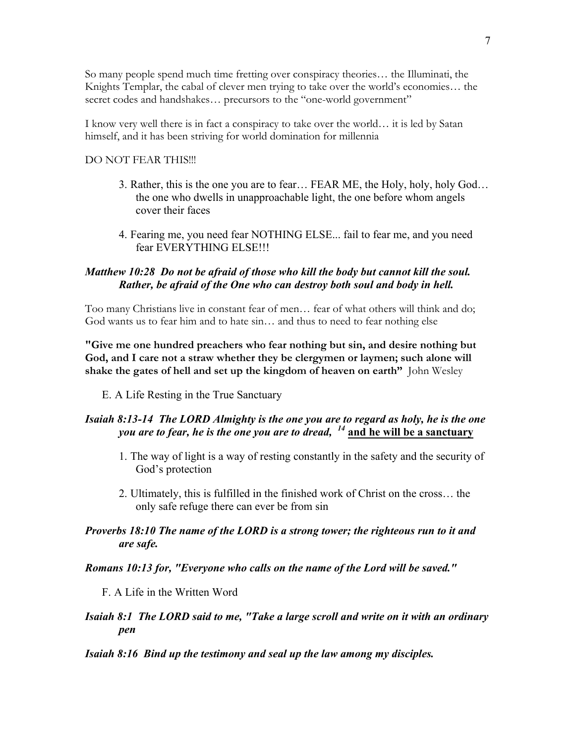So many people spend much time fretting over conspiracy theories… the Illuminati, the Knights Templar, the cabal of clever men trying to take over the world's economies… the secret codes and handshakes... precursors to the "one-world government"

I know very well there is in fact a conspiracy to take over the world… it is led by Satan himself, and it has been striving for world domination for millennia

#### DO NOT FEAR THIS!!!

- 3. Rather, this is the one you are to fear… FEAR ME, the Holy, holy, holy God… the one who dwells in unapproachable light, the one before whom angels cover their faces
- 4. Fearing me, you need fear NOTHING ELSE... fail to fear me, and you need fear EVERYTHING ELSE!!!

### *Matthew 10:28 Do not be afraid of those who kill the body but cannot kill the soul. Rather, be afraid of the One who can destroy both soul and body in hell.*

Too many Christians live in constant fear of men… fear of what others will think and do; God wants us to fear him and to hate sin… and thus to need to fear nothing else

**"Give me one hundred preachers who fear nothing but sin, and desire nothing but God, and I care not a straw whether they be clergymen or laymen; such alone will shake the gates of hell and set up the kingdom of heaven on earth"** John Wesley

E. A Life Resting in the True Sanctuary

# *Isaiah 8:13-14 The LORD Almighty is the one you are to regard as holy, he is the one you are to fear, he is the one you are to dread, <sup>14</sup>* **and he will be a sanctuary**

- 1. The way of light is a way of resting constantly in the safety and the security of God's protection
- 2. Ultimately, this is fulfilled in the finished work of Christ on the cross… the only safe refuge there can ever be from sin

### *Proverbs 18:10 The name of the LORD is a strong tower; the righteous run to it and are safe.*

#### *Romans 10:13 for, "Everyone who calls on the name of the Lord will be saved."*

F. A Life in the Written Word

# *Isaiah 8:1 The LORD said to me, "Take a large scroll and write on it with an ordinary pen*

#### *Isaiah 8:16 Bind up the testimony and seal up the law among my disciples.*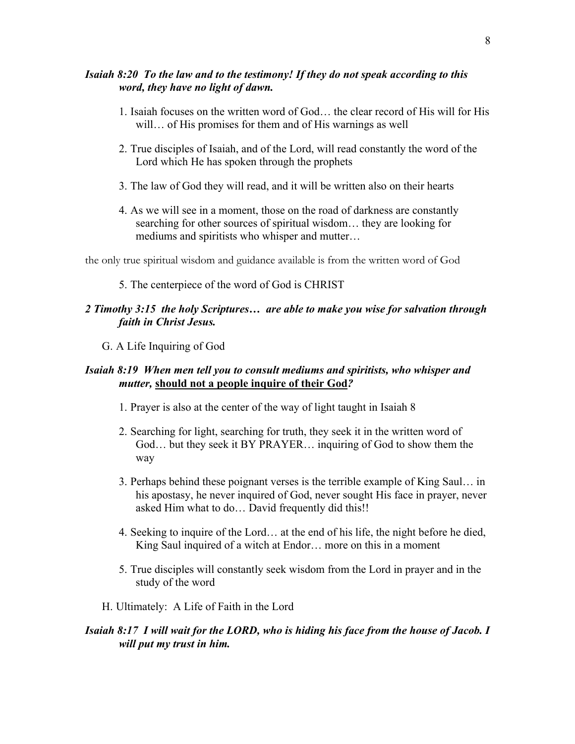# *Isaiah 8:20 To the law and to the testimony! If they do not speak according to this word, they have no light of dawn.*

- 1. Isaiah focuses on the written word of God… the clear record of His will for His will… of His promises for them and of His warnings as well
- 2. True disciples of Isaiah, and of the Lord, will read constantly the word of the Lord which He has spoken through the prophets
- 3. The law of God they will read, and it will be written also on their hearts
- 4. As we will see in a moment, those on the road of darkness are constantly searching for other sources of spiritual wisdom… they are looking for mediums and spiritists who whisper and mutter…

the only true spiritual wisdom and guidance available is from the written word of God

#### 5. The centerpiece of the word of God is CHRIST

# *2 Timothy 3:15 the holy Scriptures… are able to make you wise for salvation through faith in Christ Jesus.*

G. A Life Inquiring of God

# *Isaiah 8:19 When men tell you to consult mediums and spiritists, who whisper and mutter,* **should not a people inquire of their God***?*

- 1. Prayer is also at the center of the way of light taught in Isaiah 8
- 2. Searching for light, searching for truth, they seek it in the written word of God… but they seek it BY PRAYER… inquiring of God to show them the way
- 3. Perhaps behind these poignant verses is the terrible example of King Saul… in his apostasy, he never inquired of God, never sought His face in prayer, never asked Him what to do… David frequently did this!!
- 4. Seeking to inquire of the Lord… at the end of his life, the night before he died, King Saul inquired of a witch at Endor… more on this in a moment
- 5. True disciples will constantly seek wisdom from the Lord in prayer and in the study of the word
- H. Ultimately: A Life of Faith in the Lord

# *Isaiah 8:17 I will wait for the LORD, who is hiding his face from the house of Jacob. I will put my trust in him.*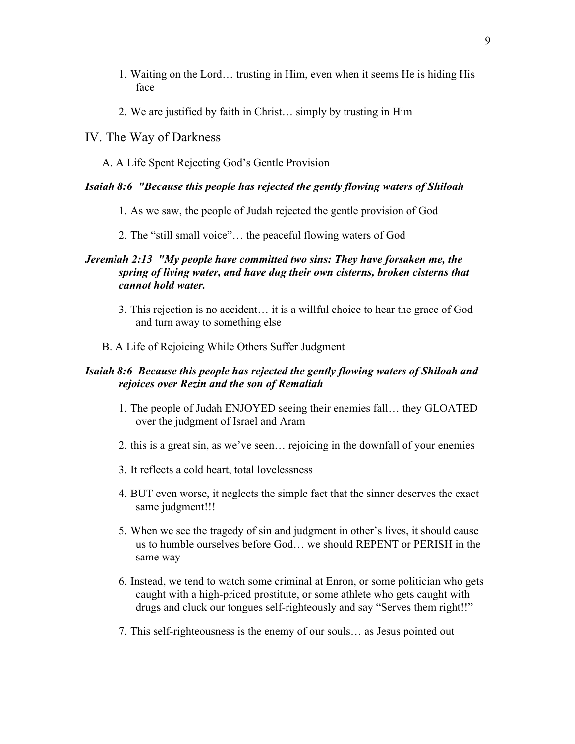- 1. Waiting on the Lord… trusting in Him, even when it seems He is hiding His face
- 2. We are justified by faith in Christ… simply by trusting in Him
- IV. The Way of Darkness
	- A. A Life Spent Rejecting God's Gentle Provision

# *Isaiah 8:6 "Because this people has rejected the gently flowing waters of Shiloah*

- 1. As we saw, the people of Judah rejected the gentle provision of God
- 2. The "still small voice"… the peaceful flowing waters of God

# *Jeremiah 2:13 "My people have committed two sins: They have forsaken me, the spring of living water, and have dug their own cisterns, broken cisterns that cannot hold water.*

- 3. This rejection is no accident… it is a willful choice to hear the grace of God and turn away to something else
- B. A Life of Rejoicing While Others Suffer Judgment

# *Isaiah 8:6 Because this people has rejected the gently flowing waters of Shiloah and rejoices over Rezin and the son of Remaliah*

- 1. The people of Judah ENJOYED seeing their enemies fall… they GLOATED over the judgment of Israel and Aram
- 2. this is a great sin, as we've seen… rejoicing in the downfall of your enemies
- 3. It reflects a cold heart, total lovelessness
- 4. BUT even worse, it neglects the simple fact that the sinner deserves the exact same judgment!!!
- 5. When we see the tragedy of sin and judgment in other's lives, it should cause us to humble ourselves before God… we should REPENT or PERISH in the same way
- 6. Instead, we tend to watch some criminal at Enron, or some politician who gets caught with a high-priced prostitute, or some athlete who gets caught with drugs and cluck our tongues self-righteously and say "Serves them right!!"
- 7. This self-righteousness is the enemy of our souls… as Jesus pointed out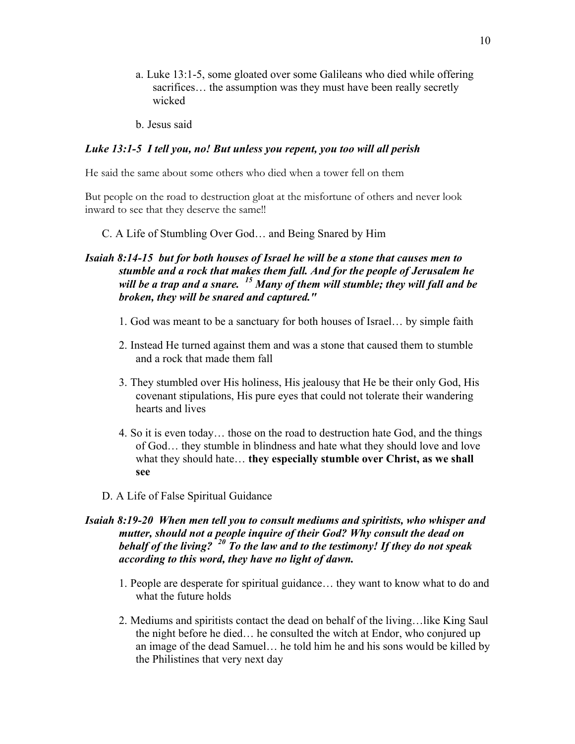- a. Luke 13:1-5, some gloated over some Galileans who died while offering sacrifices... the assumption was they must have been really secretly wicked
- b. Jesus said

### *Luke 13:1-5 I tell you, no! But unless you repent, you too will all perish*

He said the same about some others who died when a tower fell on them

But people on the road to destruction gloat at the misfortune of others and never look inward to see that they deserve the same!!

C. A Life of Stumbling Over God… and Being Snared by Him

# *Isaiah 8:14-15 but for both houses of Israel he will be a stone that causes men to stumble and a rock that makes them fall. And for the people of Jerusalem he will be a trap and a snare. <sup>15</sup> Many of them will stumble; they will fall and be broken, they will be snared and captured."*

- 1. God was meant to be a sanctuary for both houses of Israel… by simple faith
- 2. Instead He turned against them and was a stone that caused them to stumble and a rock that made them fall
- 3. They stumbled over His holiness, His jealousy that He be their only God, His covenant stipulations, His pure eyes that could not tolerate their wandering hearts and lives
- 4. So it is even today… those on the road to destruction hate God, and the things of God… they stumble in blindness and hate what they should love and love what they should hate… **they especially stumble over Christ, as we shall see**
- D. A Life of False Spiritual Guidance

# *Isaiah 8:19-20 When men tell you to consult mediums and spiritists, who whisper and mutter, should not a people inquire of their God? Why consult the dead on behalf of the living? <sup>20</sup> To the law and to the testimony! If they do not speak according to this word, they have no light of dawn.*

- 1. People are desperate for spiritual guidance… they want to know what to do and what the future holds
- 2. Mediums and spiritists contact the dead on behalf of the living…like King Saul the night before he died… he consulted the witch at Endor, who conjured up an image of the dead Samuel… he told him he and his sons would be killed by the Philistines that very next day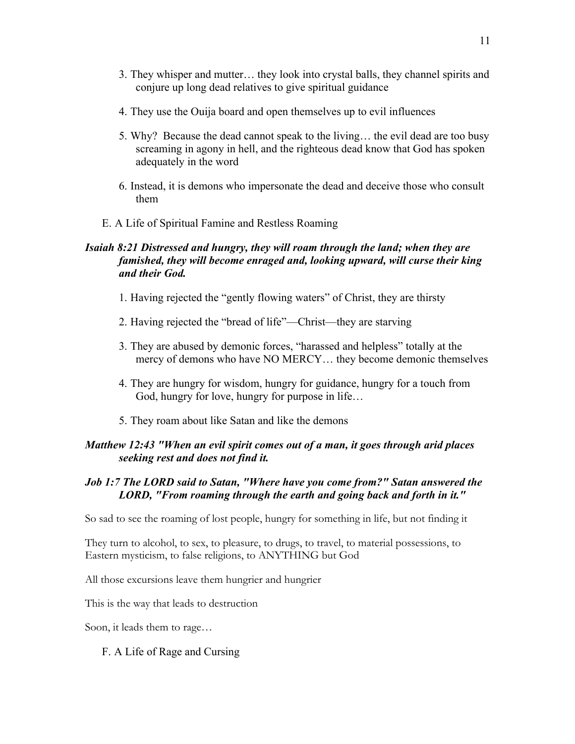- 3. They whisper and mutter… they look into crystal balls, they channel spirits and conjure up long dead relatives to give spiritual guidance
- 4. They use the Ouija board and open themselves up to evil influences
- 5. Why? Because the dead cannot speak to the living… the evil dead are too busy screaming in agony in hell, and the righteous dead know that God has spoken adequately in the word
- 6. Instead, it is demons who impersonate the dead and deceive those who consult them
- E. A Life of Spiritual Famine and Restless Roaming

# *Isaiah 8:21 Distressed and hungry, they will roam through the land; when they are famished, they will become enraged and, looking upward, will curse their king and their God.*

- 1. Having rejected the "gently flowing waters" of Christ, they are thirsty
- 2. Having rejected the "bread of life"—Christ—they are starving
- 3. They are abused by demonic forces, "harassed and helpless" totally at the mercy of demons who have NO MERCY… they become demonic themselves
- 4. They are hungry for wisdom, hungry for guidance, hungry for a touch from God, hungry for love, hungry for purpose in life…
- 5. They roam about like Satan and like the demons

# *Matthew 12:43 "When an evil spirit comes out of a man, it goes through arid places seeking rest and does not find it.*

# *Job 1:7 The LORD said to Satan, "Where have you come from?" Satan answered the LORD, "From roaming through the earth and going back and forth in it."*

So sad to see the roaming of lost people, hungry for something in life, but not finding it

They turn to alcohol, to sex, to pleasure, to drugs, to travel, to material possessions, to Eastern mysticism, to false religions, to ANYTHING but God

All those excursions leave them hungrier and hungrier

This is the way that leads to destruction

Soon, it leads them to rage…

F. A Life of Rage and Cursing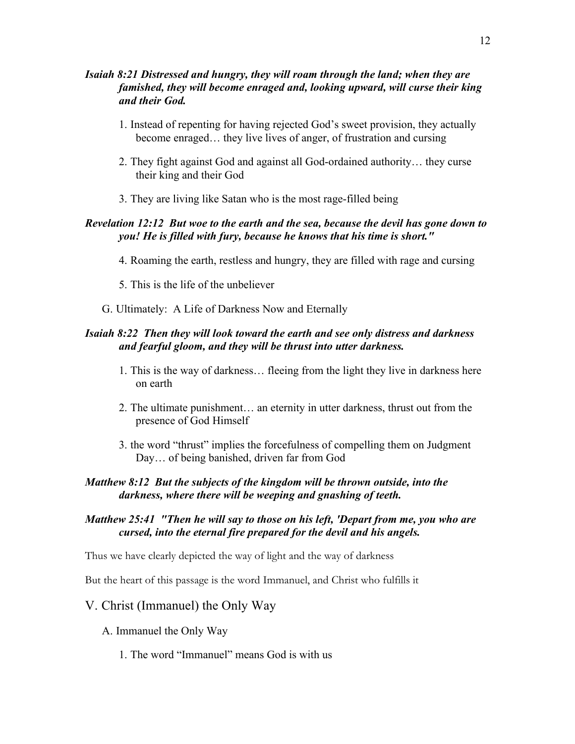# *Isaiah 8:21 Distressed and hungry, they will roam through the land; when they are famished, they will become enraged and, looking upward, will curse their king and their God.*

- 1. Instead of repenting for having rejected God's sweet provision, they actually become enraged… they live lives of anger, of frustration and cursing
- 2. They fight against God and against all God-ordained authority… they curse their king and their God
- 3. They are living like Satan who is the most rage-filled being

# *Revelation 12:12 But woe to the earth and the sea, because the devil has gone down to you! He is filled with fury, because he knows that his time is short."*

- 4. Roaming the earth, restless and hungry, they are filled with rage and cursing
- 5. This is the life of the unbeliever
- G. Ultimately: A Life of Darkness Now and Eternally

# *Isaiah 8:22 Then they will look toward the earth and see only distress and darkness and fearful gloom, and they will be thrust into utter darkness.*

- 1. This is the way of darkness… fleeing from the light they live in darkness here on earth
- 2. The ultimate punishment… an eternity in utter darkness, thrust out from the presence of God Himself
- 3. the word "thrust" implies the forcefulness of compelling them on Judgment Day… of being banished, driven far from God

# *Matthew 8:12 But the subjects of the kingdom will be thrown outside, into the darkness, where there will be weeping and gnashing of teeth.*

# *Matthew 25:41 "Then he will say to those on his left, 'Depart from me, you who are cursed, into the eternal fire prepared for the devil and his angels.*

Thus we have clearly depicted the way of light and the way of darkness

But the heart of this passage is the word Immanuel, and Christ who fulfills it

# V. Christ (Immanuel) the Only Way

- A. Immanuel the Only Way
	- 1. The word "Immanuel" means God is with us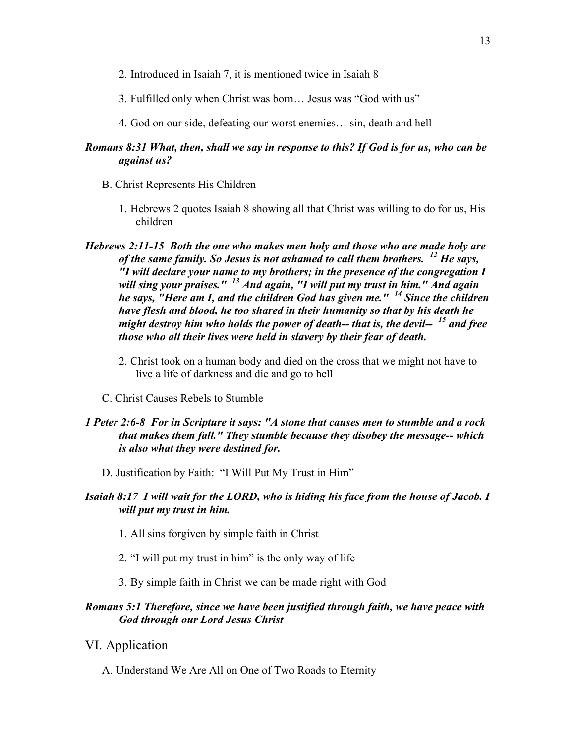- 2. Introduced in Isaiah 7, it is mentioned twice in Isaiah 8
- 3. Fulfilled only when Christ was born… Jesus was "God with us"
- 4. God on our side, defeating our worst enemies… sin, death and hell

# *Romans 8:31 What, then, shall we say in response to this? If God is for us, who can be against us?*

- B. Christ Represents His Children
	- 1. Hebrews 2 quotes Isaiah 8 showing all that Christ was willing to do for us, His children
- *Hebrews 2:11-15 Both the one who makes men holy and those who are made holy are of the same family. So Jesus is not ashamed to call them brothers. <sup>12</sup> He says, "I will declare your name to my brothers; in the presence of the congregation I will sing your praises." <sup>13</sup> And again, "I will put my trust in him." And again he says, "Here am I, and the children God has given me." <sup>14</sup> Since the children have flesh and blood, he too shared in their humanity so that by his death he might destroy him who holds the power of death-- that is, the devil-- <sup>15</sup> and free those who all their lives were held in slavery by their fear of death.*
	- 2. Christ took on a human body and died on the cross that we might not have to live a life of darkness and die and go to hell
	- C. Christ Causes Rebels to Stumble

### *1 Peter 2:6-8 For in Scripture it says: "A stone that causes men to stumble and a rock that makes them fall." They stumble because they disobey the message-- which is also what they were destined for.*

- D. Justification by Faith: "I Will Put My Trust in Him"
- *Isaiah 8:17 I will wait for the LORD, who is hiding his face from the house of Jacob. I will put my trust in him.*
	- 1. All sins forgiven by simple faith in Christ
	- 2. "I will put my trust in him" is the only way of life
	- 3. By simple faith in Christ we can be made right with God

# *Romans 5:1 Therefore, since we have been justified through faith, we have peace with God through our Lord Jesus Christ*

- VI. Application
	- A. Understand We Are All on One of Two Roads to Eternity